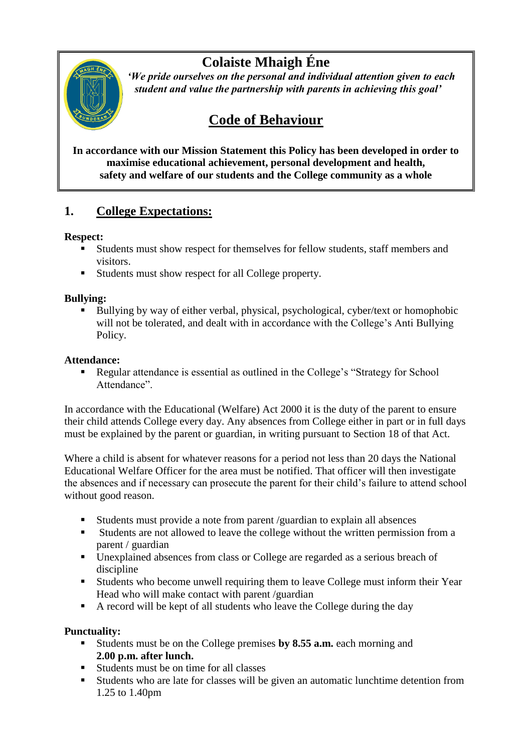# **Colaiste Mhaigh Éne**



 *'We pride ourselves on the personal and individual attention given to each student and value the partnership with parents in achieving this goal'*

# **Code of Behaviour**

**In accordance with our Mission Statement this Policy has been developed in order to maximise educational achievement, personal development and health, safety and welfare of our students and the College community as a whole**

## **1. College Expectations:**

#### **Respect:**

- Students must show respect for themselves for fellow students, staff members and visitors.
- Students must show respect for all College property.

#### **Bullying:**

Bullying by way of either verbal, physical, psychological, cyber/text or homophobic will not be tolerated, and dealt with in accordance with the College's Anti Bullying Policy.

#### **Attendance:**

 Regular attendance is essential as outlined in the College's "Strategy for School Attendance".

In accordance with the Educational (Welfare) Act 2000 it is the duty of the parent to ensure their child attends College every day. Any absences from College either in part or in full days must be explained by the parent or guardian, in writing pursuant to Section 18 of that Act.

Where a child is absent for whatever reasons for a period not less than 20 days the National Educational Welfare Officer for the area must be notified. That officer will then investigate the absences and if necessary can prosecute the parent for their child's failure to attend school without good reason.

- Students must provide a note from parent /guardian to explain all absences
- Students are not allowed to leave the college without the written permission from a parent / guardian
- **Unexplained absences from class or College are regarded as a serious breach of** discipline
- Students who become unwell requiring them to leave College must inform their Year Head who will make contact with parent /guardian
- A record will be kept of all students who leave the College during the day

#### **Punctuality:**

- Students must be on the College premises **by 8.55 a.m.** each morning and **2.00 p.m. after lunch.**
- Students must be on time for all classes
- Students who are late for classes will be given an automatic lunchtime detention from 1.25 to 1.40pm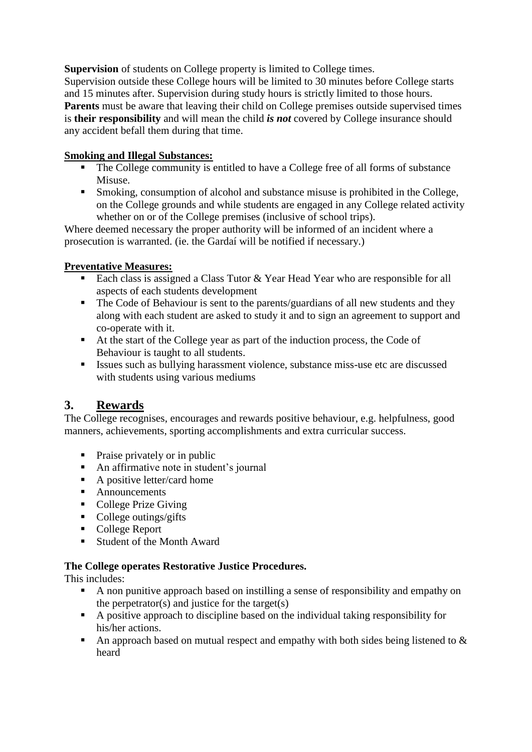**Supervision** of students on College property is limited to College times. Supervision outside these College hours will be limited to 30 minutes before College starts and 15 minutes after. Supervision during study hours is strictly limited to those hours. **Parents** must be aware that leaving their child on College premises outside supervised times is **their responsibility** and will mean the child *is not* covered by College insurance should any accident befall them during that time.

#### **Smoking and Illegal Substances:**

- The College community is entitled to have a College free of all forms of substance Misuse.
- Smoking, consumption of alcohol and substance misuse is prohibited in the College, on the College grounds and while students are engaged in any College related activity whether on or of the College premises (inclusive of school trips).

Where deemed necessary the proper authority will be informed of an incident where a prosecution is warranted. (ie. the Gardaí will be notified if necessary.)

#### **Preventative Measures:**

- Each class is assigned a Class Tutor  $& Year$  Head Year who are responsible for all aspects of each students development
- The Code of Behaviour is sent to the parents/guardians of all new students and they along with each student are asked to study it and to sign an agreement to support and co-operate with it.
- At the start of the College year as part of the induction process, the Code of Behaviour is taught to all students.
- Issues such as bullying harassment violence, substance miss-use etc are discussed with students using various mediums

# **3. Rewards**

The College recognises, encourages and rewards positive behaviour, e.g. helpfulness, good manners, achievements, sporting accomplishments and extra curricular success.

- Praise privately or in public
- An affirmative note in student's journal
- $\blacksquare$  A positive letter/card home
- **Announcements**
- College Prize Giving
- College outings/gifts
- College Report
- Student of the Month Award

#### **The College operates Restorative Justice Procedures.**

This includes:

- A non punitive approach based on instilling a sense of responsibility and empathy on the perpetrator(s) and justice for the target(s)
- A positive approach to discipline based on the individual taking responsibility for his/her actions.
- An approach based on mutual respect and empathy with both sides being listened to  $\&$ heard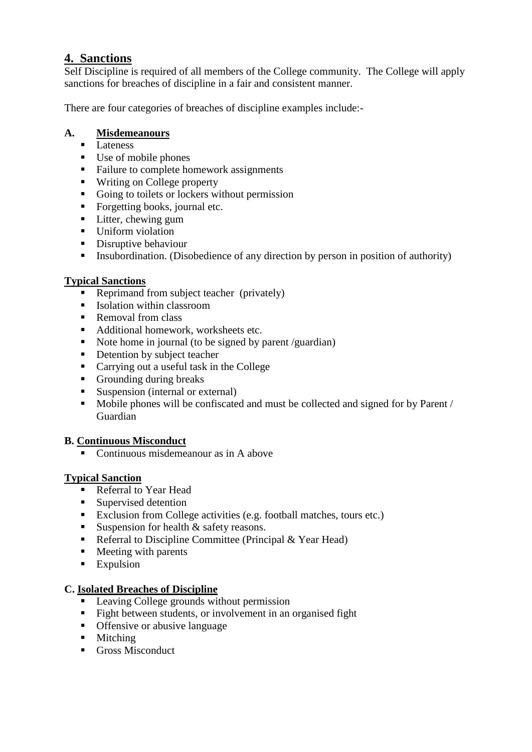### **4. Sanctions**

Self Discipline is required of all members of the College community. The College will apply sanctions for breaches of discipline in a fair and consistent manner.

There are four categories of breaches of discipline examples include:-

#### **A. Misdemeanours**

- $\overline{\text{Lateness}}$
- Use of mobile phones
- Failure to complete homework assignments
- Writing on College property
- Going to toilets or lockers without permission
- Forgetting books, journal etc.
- **Litter**, chewing gum
- Uniform violation
- Disruptive behaviour
- **Insubordination.** (Disobedience of any direction by person in position of authority)

#### **Typical Sanctions**

- Reprimand from subject teacher (privately)
- Isolation within classroom
- Removal from class
- Additional homework, worksheets etc.
- Note home in journal (to be signed by parent /guardian)
- Detention by subject teacher
- Carrying out a useful task in the College
- Grounding during breaks
- Suspension (internal or external)
- Mobile phones will be confiscated and must be collected and signed for by Parent / Guardian

#### **B. Continuous Misconduct**

■ Continuous misdemeanour as in A above

#### **Typical Sanction**

- Referral to Year Head
- **Supervised detention**
- Exclusion from College activities (e.g. football matches, tours etc.)
- Suspension for health  $&$  safety reasons.
- Referral to Discipline Committee (Principal  $& Year Head$ )
- $\blacksquare$  Meeting with parents
- **Expulsion**

#### **C. Isolated Breaches of Discipline**

- **Leaving College grounds without permission**
- Fight between students, or involvement in an organised fight
- Offensive or abusive language
- **Mitching**
- Gross Misconduct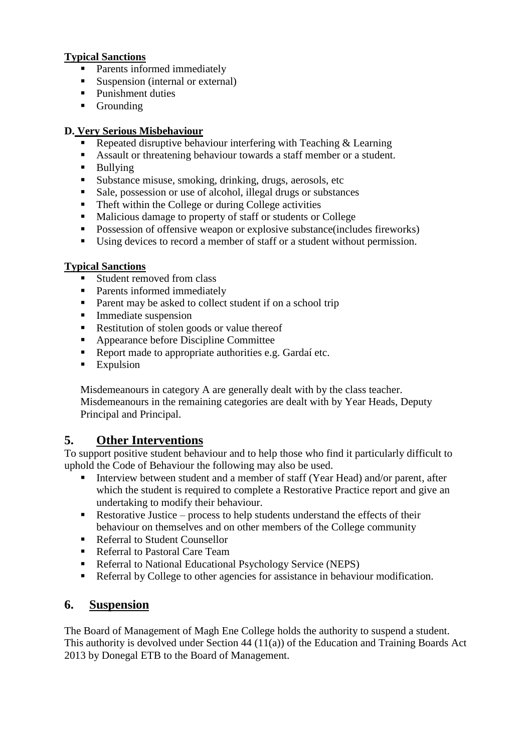#### **Typical Sanctions**

- **Parents informed immediately**
- Suspension (internal or external)
- Punishment duties
- **Grounding**

#### **D. Very Serious Misbehaviour**

- Repeated disruptive behaviour interfering with Teaching  $&$  Learning
- Assault or threatening behaviour towards a staff member or a student.
- **Bullying**
- Substance misuse, smoking, drinking, drugs, aerosols, etc
- Sale, possession or use of alcohol, illegal drugs or substances
- Theft within the College or during College activities
- Malicious damage to property of staff or students or College
- **Possession of offensive weapon or explosive substance (includes fireworks)**
- Using devices to record a member of staff or a student without permission.

#### **Typical Sanctions**

- $\blacksquare$  Student removed from class
- Parents informed immediately
- Parent may be asked to collect student if on a school trip
- **Immediate suspension**
- Restitution of stolen goods or value thereof
- Appearance before Discipline Committee
- Report made to appropriate authorities e.g. Gardaí etc.
- **Expulsion**

Misdemeanours in category A are generally dealt with by the class teacher. Misdemeanours in the remaining categories are dealt with by Year Heads, Deputy Principal and Principal.

## **5. Other Interventions**

To support positive student behaviour and to help those who find it particularly difficult to uphold the Code of Behaviour the following may also be used.

- Interview between student and a member of staff (Year Head) and/or parent, after which the student is required to complete a Restorative Practice report and give an undertaking to modify their behaviour.
- Restorative Justice process to help students understand the effects of their behaviour on themselves and on other members of the College community
- Referral to Student Counsellor
- Referral to Pastoral Care Team
- Referral to National Educational Psychology Service (NEPS)
- Referral by College to other agencies for assistance in behaviour modification.

## **6. Suspension**

The Board of Management of Magh Ene College holds the authority to suspend a student. This authority is devolved under Section 44 (11(a)) of the Education and Training Boards Act 2013 by Donegal ETB to the Board of Management.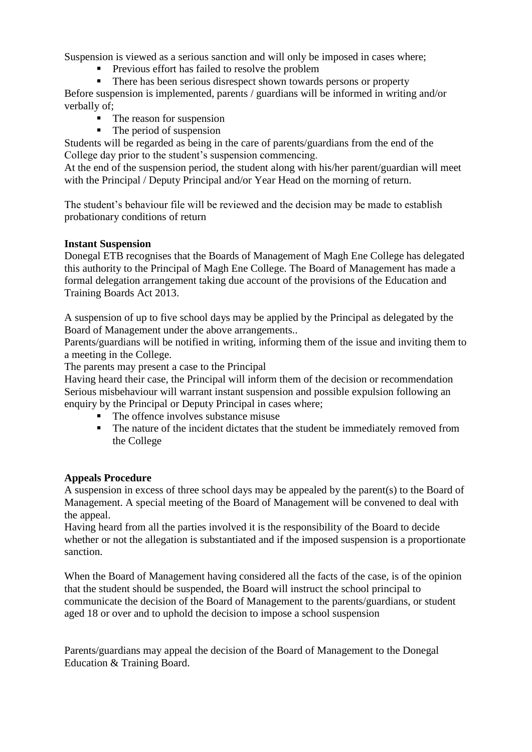Suspension is viewed as a serious sanction and will only be imposed in cases where;

- **Previous effort has failed to resolve the problem**
- There has been serious disrespect shown towards persons or property

Before suspension is implemented, parents / guardians will be informed in writing and/or verbally of;

- $\blacksquare$  The reason for suspension
- $\blacksquare$  The period of suspension

Students will be regarded as being in the care of parents/guardians from the end of the College day prior to the student's suspension commencing.

At the end of the suspension period, the student along with his/her parent/guardian will meet with the Principal / Deputy Principal and/or Year Head on the morning of return.

The student's behaviour file will be reviewed and the decision may be made to establish probationary conditions of return

#### **Instant Suspension**

Donegal ETB recognises that the Boards of Management of Magh Ene College has delegated this authority to the Principal of Magh Ene College. The Board of Management has made a formal delegation arrangement taking due account of the provisions of the Education and Training Boards Act 2013.

A suspension of up to five school days may be applied by the Principal as delegated by the Board of Management under the above arrangements..

Parents/guardians will be notified in writing, informing them of the issue and inviting them to a meeting in the College.

The parents may present a case to the Principal

Having heard their case, the Principal will inform them of the decision or recommendation Serious misbehaviour will warrant instant suspension and possible expulsion following an enquiry by the Principal or Deputy Principal in cases where;

- The offence involves substance misuse
- The nature of the incident dictates that the student be immediately removed from the College

#### **Appeals Procedure**

A suspension in excess of three school days may be appealed by the parent(s) to the Board of Management. A special meeting of the Board of Management will be convened to deal with the appeal.

Having heard from all the parties involved it is the responsibility of the Board to decide whether or not the allegation is substantiated and if the imposed suspension is a proportionate sanction.

When the Board of Management having considered all the facts of the case, is of the opinion that the student should be suspended, the Board will instruct the school principal to communicate the decision of the Board of Management to the parents/guardians, or student aged 18 or over and to uphold the decision to impose a school suspension

Parents/guardians may appeal the decision of the Board of Management to the Donegal Education & Training Board.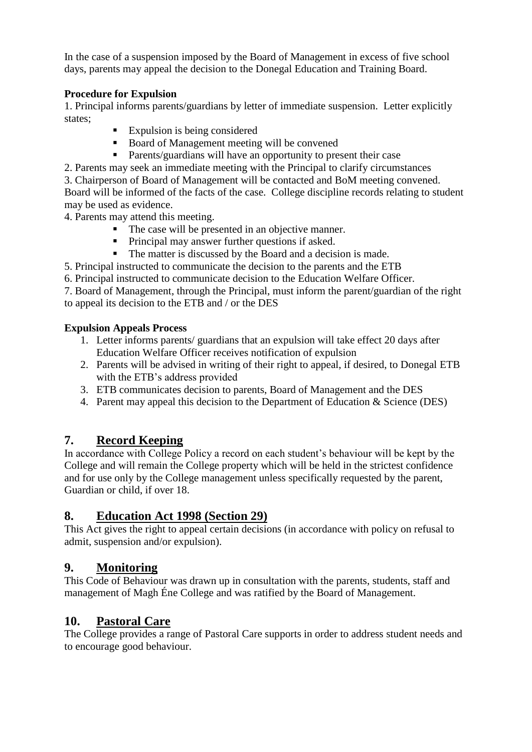In the case of a suspension imposed by the Board of Management in excess of five school days, parents may appeal the decision to the Donegal Education and Training Board.

#### **Procedure for Expulsion**

1. Principal informs parents/guardians by letter of immediate suspension. Letter explicitly states;

- Expulsion is being considered
- Board of Management meeting will be convened
- Parents/guardians will have an opportunity to present their case
- 2. Parents may seek an immediate meeting with the Principal to clarify circumstances

3. Chairperson of Board of Management will be contacted and BoM meeting convened. Board will be informed of the facts of the case. College discipline records relating to student may be used as evidence.

4. Parents may attend this meeting.

- The case will be presented in an objective manner.
- **Principal may answer further questions if asked.**
- The matter is discussed by the Board and a decision is made.

5. Principal instructed to communicate the decision to the parents and the ETB

6. Principal instructed to communicate decision to the Education Welfare Officer.

7. Board of Management, through the Principal, must inform the parent/guardian of the right to appeal its decision to the ETB and / or the DES

### **Expulsion Appeals Process**

- 1. Letter informs parents/ guardians that an expulsion will take effect 20 days after Education Welfare Officer receives notification of expulsion
- 2. Parents will be advised in writing of their right to appeal, if desired, to Donegal ETB with the ETB's address provided
- 3. ETB communicates decision to parents, Board of Management and the DES
- 4. Parent may appeal this decision to the Department of Education & Science (DES)

# **7. Record Keeping**

In accordance with College Policy a record on each student's behaviour will be kept by the College and will remain the College property which will be held in the strictest confidence and for use only by the College management unless specifically requested by the parent, Guardian or child, if over 18.

# **8. Education Act 1998 (Section 29)**

This Act gives the right to appeal certain decisions (in accordance with policy on refusal to admit, suspension and/or expulsion).

# **9. Monitoring**

This Code of Behaviour was drawn up in consultation with the parents, students, staff and management of Magh Éne College and was ratified by the Board of Management.

# **10. Pastoral Care**

The College provides a range of Pastoral Care supports in order to address student needs and to encourage good behaviour.